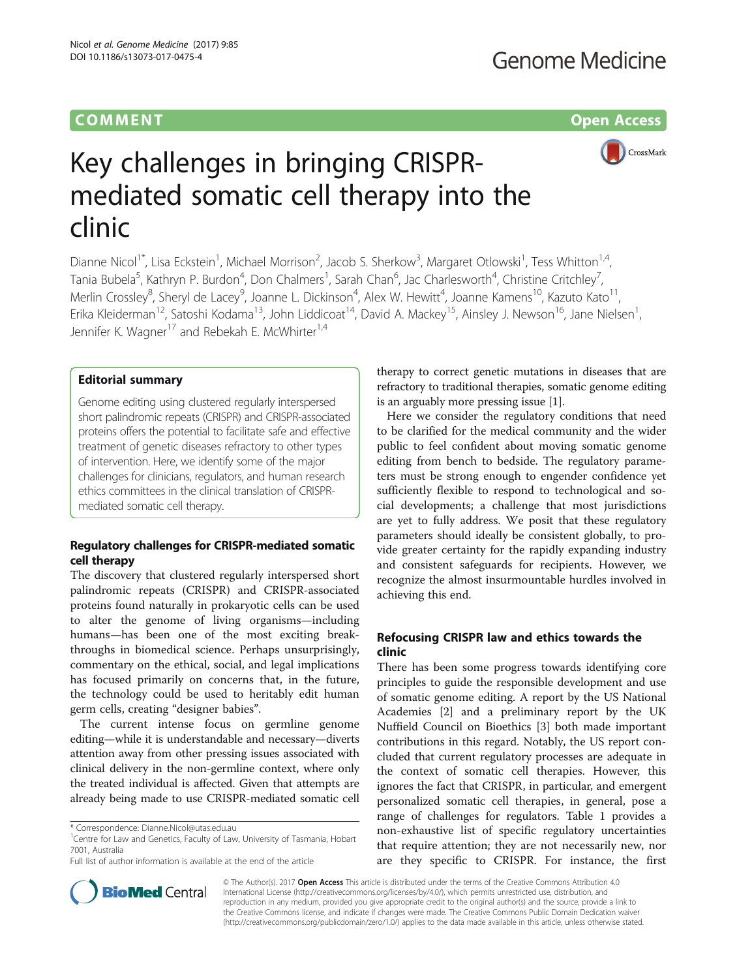# **COMMENT COMMENT COMMENT**



# Key challenges in bringing CRISPRmediated somatic cell therapy into the clinic

Dianne Nicol<sup>1\*</sup>, Lisa Eckstein<sup>1</sup>, Michael Morrison<sup>2</sup>, Jacob S. Sherkow<sup>3</sup>, Margaret Otlowski<sup>1</sup>, Tess Whitton<sup>1,4</sup>, Tania Bubela<sup>5</sup>, Kathryn P. Burdon<sup>4</sup>, Don Chalmers<sup>1</sup>, Sarah Chan<sup>6</sup>, Jac Charlesworth<sup>4</sup>, Christine Critchley<sup>7</sup> , Merlin Crossley<sup>8</sup>, Sheryl de Lacey<sup>9</sup>, Joanne L. Dickinson<sup>4</sup>, Alex W. Hewitt<sup>4</sup>, Joanne Kamens<sup>10</sup>, Kazuto Kato<sup>11</sup>, Erika Kleiderman<sup>12</sup>, Satoshi Kodama<sup>13</sup>, John Liddicoat<sup>14</sup>, David A. Mackey<sup>15</sup>, Ainsley J. Newson<sup>16</sup>, Jane Nielsen<sup>1</sup>, , Jennifer K. Wagner<sup>17</sup> and Rebekah E. McWhirter<sup>1,4</sup>

# Editorial summary

Genome editing using clustered regularly interspersed short palindromic repeats (CRISPR) and CRISPR-associated proteins offers the potential to facilitate safe and effective treatment of genetic diseases refractory to other types of intervention. Here, we identify some of the major challenges for clinicians, regulators, and human research ethics committees in the clinical translation of CRISPRmediated somatic cell therapy.

# Regulatory challenges for CRISPR-mediated somatic cell therapy

The discovery that clustered regularly interspersed short palindromic repeats (CRISPR) and CRISPR-associated proteins found naturally in prokaryotic cells can be used to alter the genome of living organisms—including humans—has been one of the most exciting breakthroughs in biomedical science. Perhaps unsurprisingly, commentary on the ethical, social, and legal implications has focused primarily on concerns that, in the future, the technology could be used to heritably edit human germ cells, creating "designer babies".

The current intense focus on germline genome editing—while it is understandable and necessary—diverts attention away from other pressing issues associated with clinical delivery in the non-germline context, where only the treated individual is affected. Given that attempts are already being made to use CRISPR-mediated somatic cell

therapy to correct genetic mutations in diseases that are refractory to traditional therapies, somatic genome editing is an arguably more pressing issue [[1](#page-3-0)].

Here we consider the regulatory conditions that need to be clarified for the medical community and the wider public to feel confident about moving somatic genome editing from bench to bedside. The regulatory parameters must be strong enough to engender confidence yet sufficiently flexible to respond to technological and social developments; a challenge that most jurisdictions are yet to fully address. We posit that these regulatory parameters should ideally be consistent globally, to provide greater certainty for the rapidly expanding industry and consistent safeguards for recipients. However, we recognize the almost insurmountable hurdles involved in achieving this end.

# Refocusing CRISPR law and ethics towards the clinic

There has been some progress towards identifying core principles to guide the responsible development and use of somatic genome editing. A report by the US National Academies [\[2](#page-3-0)] and a preliminary report by the UK Nuffield Council on Bioethics [[3\]](#page-3-0) both made important contributions in this regard. Notably, the US report concluded that current regulatory processes are adequate in the context of somatic cell therapies. However, this ignores the fact that CRISPR, in particular, and emergent personalized somatic cell therapies, in general, pose a range of challenges for regulators. Table [1](#page-1-0) provides a non-exhaustive list of specific regulatory uncertainties that require attention; they are not necessarily new, nor are they specific to CRISPR. For instance, the first



© The Author(s). 2017 Open Access This article is distributed under the terms of the Creative Commons Attribution 4.0 International License [\(http://creativecommons.org/licenses/by/4.0/](http://creativecommons.org/licenses/by/4.0/)), which permits unrestricted use, distribution, and reproduction in any medium, provided you give appropriate credit to the original author(s) and the source, provide a link to the Creative Commons license, and indicate if changes were made. The Creative Commons Public Domain Dedication waiver [\(http://creativecommons.org/publicdomain/zero/1.0/](http://creativecommons.org/publicdomain/zero/1.0/)) applies to the data made available in this article, unless otherwise stated.

<sup>\*</sup> Correspondence: [Dianne.Nicol@utas.edu.au](mailto:Dianne.Nicol@utas.edu.au) <sup>1</sup>

<sup>&</sup>lt;sup>1</sup> Centre for Law and Genetics, Faculty of Law, University of Tasmania, Hobart 7001, Australia

Full list of author information is available at the end of the article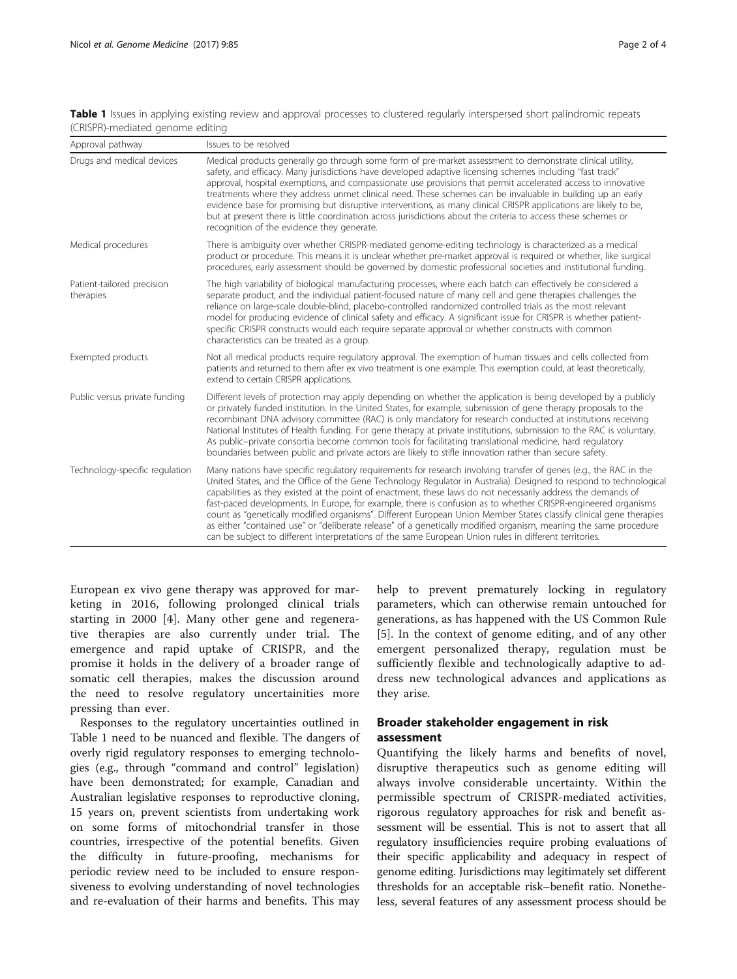<span id="page-1-0"></span>Table 1 Issues in applying existing review and approval processes to clustered regularly interspersed short palindromic repeats (CRISPR)-mediated genome editing

| Approval pathway                        | Issues to be resolved                                                                                                                                                                                                                                                                                                                                                                                                                                                                                                                                                                                                                                                                                                                                                                                                       |
|-----------------------------------------|-----------------------------------------------------------------------------------------------------------------------------------------------------------------------------------------------------------------------------------------------------------------------------------------------------------------------------------------------------------------------------------------------------------------------------------------------------------------------------------------------------------------------------------------------------------------------------------------------------------------------------------------------------------------------------------------------------------------------------------------------------------------------------------------------------------------------------|
| Drugs and medical devices               | Medical products generally go through some form of pre-market assessment to demonstrate clinical utility,<br>safety, and efficacy. Many jurisdictions have developed adaptive licensing schemes including "fast track"<br>approval, hospital exemptions, and compassionate use provisions that permit accelerated access to innovative<br>treatments where they address unmet clinical need. These schemes can be invaluable in building up an early<br>evidence base for promising but disruptive interventions, as many clinical CRISPR applications are likely to be,<br>but at present there is little coordination across jurisdictions about the criteria to access these schemes or<br>recognition of the evidence they generate.                                                                                    |
| Medical procedures                      | There is ambiguity over whether CRISPR-mediated genome-editing technology is characterized as a medical<br>product or procedure. This means it is unclear whether pre-market approval is required or whether, like surgical<br>procedures, early assessment should be governed by domestic professional societies and institutional funding.                                                                                                                                                                                                                                                                                                                                                                                                                                                                                |
| Patient-tailored precision<br>therapies | The high variability of biological manufacturing processes, where each batch can effectively be considered a<br>separate product, and the individual patient-focused nature of many cell and gene therapies challenges the<br>reliance on large-scale double-blind, placebo-controlled randomized controlled trials as the most relevant<br>model for producing evidence of clinical safety and efficacy. A significant issue for CRISPR is whether patient-<br>specific CRISPR constructs would each require separate approval or whether constructs with common<br>characteristics can be treated as a group.                                                                                                                                                                                                             |
| Exempted products                       | Not all medical products require requlatory approval. The exemption of human tissues and cells collected from<br>patients and returned to them after ex vivo treatment is one example. This exemption could, at least theoretically,<br>extend to certain CRISPR applications.                                                                                                                                                                                                                                                                                                                                                                                                                                                                                                                                              |
| Public versus private funding           | Different levels of protection may apply depending on whether the application is being developed by a publicly<br>or privately funded institution. In the United States, for example, submission of gene therapy proposals to the<br>recombinant DNA advisory committee (RAC) is only mandatory for research conducted at institutions receiving<br>National Institutes of Health funding. For gene therapy at private institutions, submission to the RAC is voluntary.<br>As public-private consortia become common tools for facilitating translational medicine, hard regulatory<br>boundaries between public and private actors are likely to stifle innovation rather than secure safety.                                                                                                                             |
| Technology-specific regulation          | Many nations have specific regulatory requirements for research involving transfer of genes (e.g., the RAC in the<br>United States, and the Office of the Gene Technology Regulator in Australia). Designed to respond to technologica<br>capabilities as they existed at the point of enactment, these laws do not necessarily address the demands of<br>fast-paced developments. In Europe, for example, there is confusion as to whether CRISPR-engineered organisms<br>count as "genetically modified organisms". Different European Union Member States classify clinical gene therapies<br>as either "contained use" or "deliberate release" of a genetically modified organism, meaning the same procedure<br>can be subject to different interpretations of the same European Union rules in different territories. |

European ex vivo gene therapy was approved for marketing in 2016, following prolonged clinical trials starting in 2000 [[4\]](#page-3-0). Many other gene and regenerative therapies are also currently under trial. The emergence and rapid uptake of CRISPR, and the promise it holds in the delivery of a broader range of somatic cell therapies, makes the discussion around the need to resolve regulatory uncertainities more pressing than ever.

Responses to the regulatory uncertainties outlined in Table 1 need to be nuanced and flexible. The dangers of overly rigid regulatory responses to emerging technologies (e.g., through "command and control" legislation) have been demonstrated; for example, Canadian and Australian legislative responses to reproductive cloning, 15 years on, prevent scientists from undertaking work on some forms of mitochondrial transfer in those countries, irrespective of the potential benefits. Given the difficulty in future-proofing, mechanisms for periodic review need to be included to ensure responsiveness to evolving understanding of novel technologies and re-evaluation of their harms and benefits. This may

help to prevent prematurely locking in regulatory parameters, which can otherwise remain untouched for generations, as has happened with the US Common Rule [[5\]](#page-3-0). In the context of genome editing, and of any other emergent personalized therapy, regulation must be sufficiently flexible and technologically adaptive to address new technological advances and applications as they arise.

# Broader stakeholder engagement in risk assessment

Quantifying the likely harms and benefits of novel, disruptive therapeutics such as genome editing will always involve considerable uncertainty. Within the permissible spectrum of CRISPR-mediated activities, rigorous regulatory approaches for risk and benefit assessment will be essential. This is not to assert that all regulatory insufficiencies require probing evaluations of their specific applicability and adequacy in respect of genome editing. Jurisdictions may legitimately set different thresholds for an acceptable risk–benefit ratio. Nonetheless, several features of any assessment process should be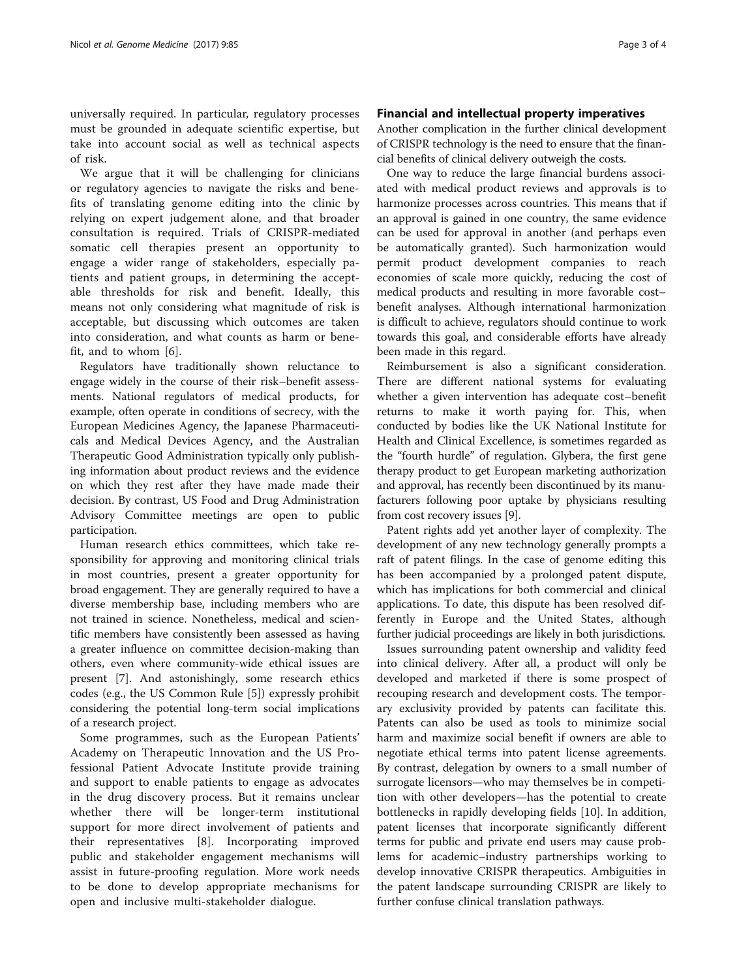universally required. In particular, regulatory processes must be grounded in adequate scientific expertise, but take into account social as well as technical aspects of risk.

We argue that it will be challenging for clinicians or regulatory agencies to navigate the risks and benefits of translating genome editing into the clinic by relying on expert judgement alone, and that broader consultation is required. Trials of CRISPR-mediated somatic cell therapies present an opportunity to engage a wider range of stakeholders, especially patients and patient groups, in determining the acceptable thresholds for risk and benefit. Ideally, this means not only considering what magnitude of risk is acceptable, but discussing which outcomes are taken into consideration, and what counts as harm or benefit, and to whom [\[6](#page-3-0)].

Regulators have traditionally shown reluctance to engage widely in the course of their risk–benefit assessments. National regulators of medical products, for example, often operate in conditions of secrecy, with the European Medicines Agency, the Japanese Pharmaceuticals and Medical Devices Agency, and the Australian Therapeutic Good Administration typically only publishing information about product reviews and the evidence on which they rest after they have made made their decision. By contrast, US Food and Drug Administration Advisory Committee meetings are open to public participation.

Human research ethics committees, which take responsibility for approving and monitoring clinical trials in most countries, present a greater opportunity for broad engagement. They are generally required to have a diverse membership base, including members who are not trained in science. Nonetheless, medical and scientific members have consistently been assessed as having a greater influence on committee decision-making than others, even where community-wide ethical issues are present [\[7](#page-3-0)]. And astonishingly, some research ethics codes (e.g., the US Common Rule [[5\]](#page-3-0)) expressly prohibit considering the potential long-term social implications of a research project.

Some programmes, such as the European Patients' Academy on Therapeutic Innovation and the US Professional Patient Advocate Institute provide training and support to enable patients to engage as advocates in the drug discovery process. But it remains unclear whether there will be longer-term institutional support for more direct involvement of patients and their representatives [[8\]](#page-3-0). Incorporating improved public and stakeholder engagement mechanisms will assist in future-proofing regulation. More work needs to be done to develop appropriate mechanisms for open and inclusive multi-stakeholder dialogue.

## Financial and intellectual property imperatives

Another complication in the further clinical development of CRISPR technology is the need to ensure that the financial benefits of clinical delivery outweigh the costs.

One way to reduce the large financial burdens associated with medical product reviews and approvals is to harmonize processes across countries. This means that if an approval is gained in one country, the same evidence can be used for approval in another (and perhaps even be automatically granted). Such harmonization would permit product development companies to reach economies of scale more quickly, reducing the cost of medical products and resulting in more favorable cost– benefit analyses. Although international harmonization is difficult to achieve, regulators should continue to work towards this goal, and considerable efforts have already been made in this regard.

Reimbursement is also a significant consideration. There are different national systems for evaluating whether a given intervention has adequate cost–benefit returns to make it worth paying for. This, when conducted by bodies like the UK National Institute for Health and Clinical Excellence, is sometimes regarded as the "fourth hurdle" of regulation. Glybera, the first gene therapy product to get European marketing authorization and approval, has recently been discontinued by its manufacturers following poor uptake by physicians resulting from cost recovery issues [\[9\]](#page-3-0).

Patent rights add yet another layer of complexity. The development of any new technology generally prompts a raft of patent filings. In the case of genome editing this has been accompanied by a prolonged patent dispute, which has implications for both commercial and clinical applications. To date, this dispute has been resolved differently in Europe and the United States, although further judicial proceedings are likely in both jurisdictions.

Issues surrounding patent ownership and validity feed into clinical delivery. After all, a product will only be developed and marketed if there is some prospect of recouping research and development costs. The temporary exclusivity provided by patents can facilitate this. Patents can also be used as tools to minimize social harm and maximize social benefit if owners are able to negotiate ethical terms into patent license agreements. By contrast, delegation by owners to a small number of surrogate licensors—who may themselves be in competition with other developers—has the potential to create bottlenecks in rapidly developing fields [\[10](#page-3-0)]. In addition, patent licenses that incorporate significantly different terms for public and private end users may cause problems for academic–industry partnerships working to develop innovative CRISPR therapeutics. Ambiguities in the patent landscape surrounding CRISPR are likely to further confuse clinical translation pathways.